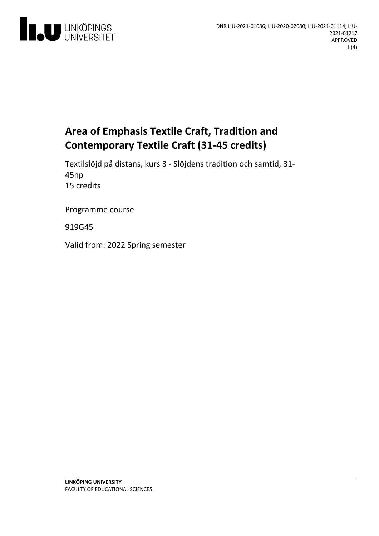

# **Area ofEmphasis Textile Craft, Tradition and Contemporary Textile Craft (31-45 credits)**

Textilslöjd på distans, kurs 3 - Slöjdens tradition och samtid, 31-45hp 15 credits

Programme course

919G45

Valid from: 2022 Spring semester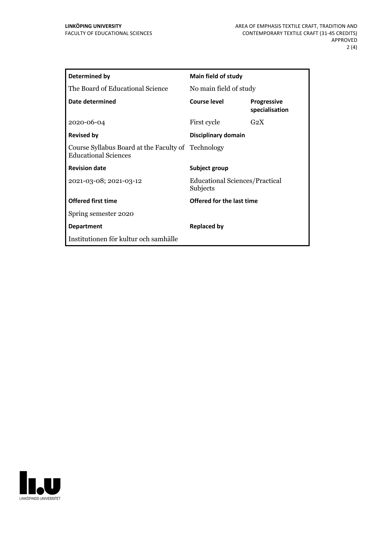| <b>Determined by</b>                                                              | <b>Main field of study</b>                        |                                      |
|-----------------------------------------------------------------------------------|---------------------------------------------------|--------------------------------------|
| The Board of Educational Science                                                  | No main field of study                            |                                      |
| Date determined                                                                   | Course level                                      | <b>Progressive</b><br>specialisation |
| 2020-06-04                                                                        | First cycle                                       | G <sub>2</sub> X                     |
| <b>Revised by</b>                                                                 | Disciplinary domain                               |                                      |
| Course Syllabus Board at the Faculty of Technology<br><b>Educational Sciences</b> |                                                   |                                      |
| <b>Revision date</b>                                                              | Subject group                                     |                                      |
| 2021-03-08; 2021-03-12                                                            | <b>Educational Sciences/Practical</b><br>Subjects |                                      |
| <b>Offered first time</b>                                                         | Offered for the last time                         |                                      |
| Spring semester 2020                                                              |                                                   |                                      |
| <b>Department</b>                                                                 | <b>Replaced by</b>                                |                                      |
| Institutionen för kultur och samhälle                                             |                                                   |                                      |

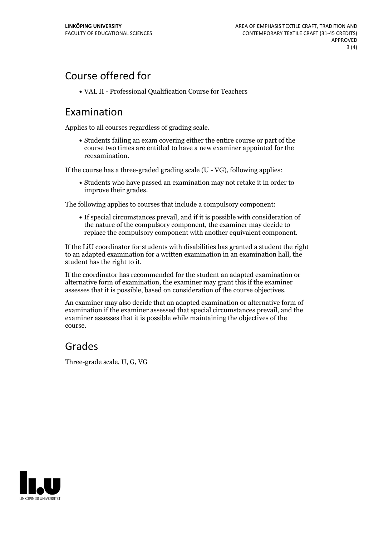## Course offered for

VAL II -Professional Qualification Course for Teachers

#### Examination

Applies to all courses regardless of grading scale.

Students failing an exam covering either the entire course or part of the course two times are entitled to have a new examiner appointed for the reexamination.

If the course has a three-graded grading scale (U - VG), following applies:

Students who have passed an examination may not retake it in order to improve their grades.

The following applies to courses that include a compulsory component:

If special circumstances prevail, and if it is possible with consideration of the nature of the compulsory component, the examiner may decide to replace the compulsory component with another equivalent component.

If the LiU coordinator for students with disabilities has granted a student the right to an adapted examination for a written examination in an examination hall, the student has the right to it.

If the coordinator has recommended for the student an adapted examination or alternative form of examination, the examiner may grant this if the examiner assesses that it is possible, based on consideration of the course objectives.

An examiner may also decide that an adapted examination or alternative form of examination if the examiner assessed that special circumstances prevail, and the examiner assesses that it is possible while maintaining the objectives of the course.

#### Grades

Three-grade scale, U, G, VG